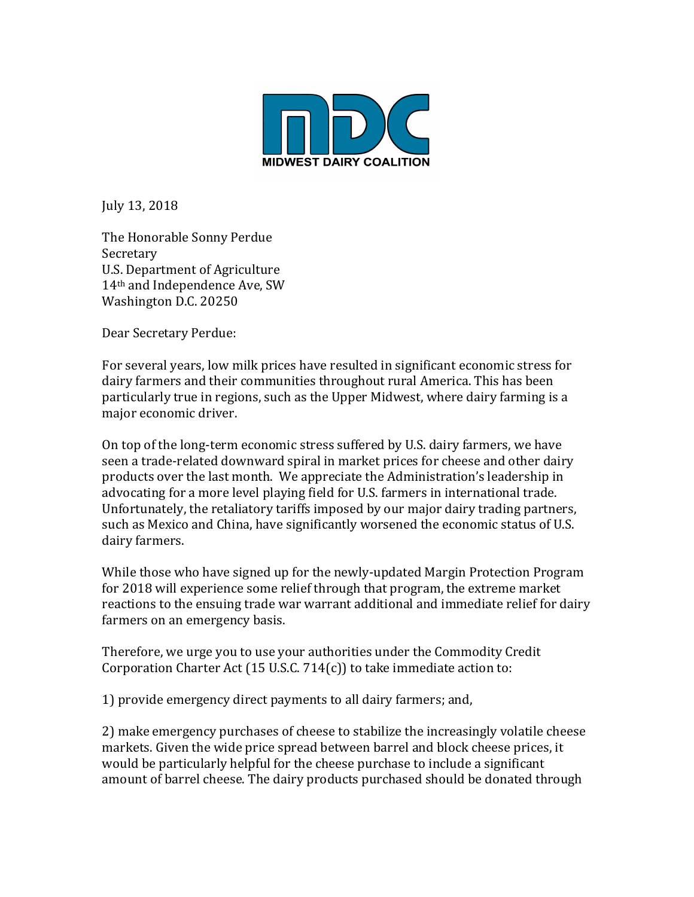

July 13, 2018

The Honorable Sonny Perdue Secretary U.S. Department of Agriculture 14<sup>th</sup> and Independence Ave, SW Washington D.C. 20250

Dear Secretary Perdue:

For several years, low milk prices have resulted in significant economic stress for dairy farmers and their communities throughout rural America. This has been particularly true in regions, such as the Upper Midwest, where dairy farming is a major economic driver.

On top of the long-term economic stress suffered by U.S. dairy farmers, we have seen a trade-related downward spiral in market prices for cheese and other dairy products over the last month. We appreciate the Administration's leadership in advocating for a more level playing field for U.S. farmers in international trade. Unfortunately, the retaliatory tariffs imposed by our major dairy trading partners, such as Mexico and China, have significantly worsened the economic status of U.S. dairy farmers.

While those who have signed up for the newly-updated Margin Protection Program for 2018 will experience some relief through that program, the extreme market reactions to the ensuing trade war warrant additional and immediate relief for dairy farmers on an emergency basis.

Therefore, we urge you to use your authorities under the Commodity Credit Corporation Charter Act  $(15 \text{ U.S.C. } 714(c))$  to take immediate action to:

1) provide emergency direct payments to all dairy farmers; and,

2) make emergency purchases of cheese to stabilize the increasingly volatile cheese markets. Given the wide price spread between barrel and block cheese prices, it would be particularly helpful for the cheese purchase to include a significant amount of barrel cheese. The dairy products purchased should be donated through